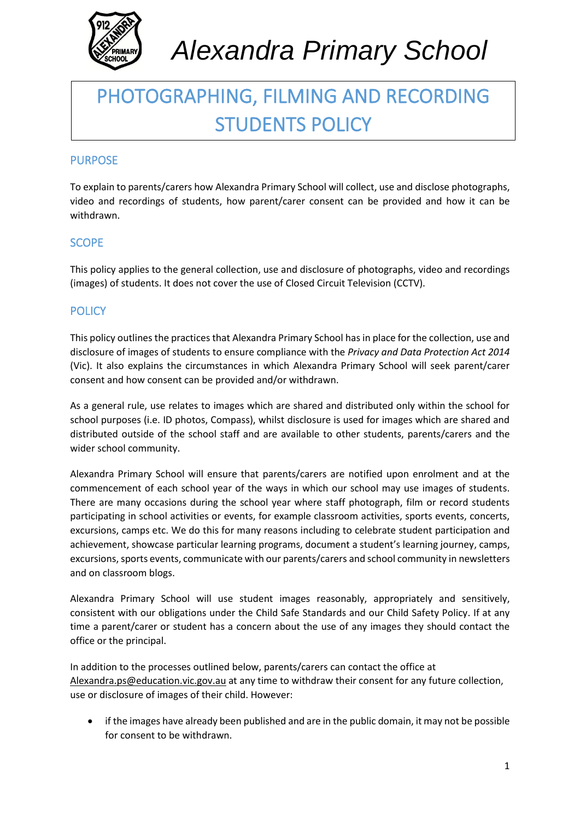

# PHOTOGRAPHING, FILMING AND RECORDING STUDENTS POLICY

# PURPOSE

To explain to parents/carers how Alexandra Primary School will collect, use and disclose photographs, video and recordings of students, how parent/carer consent can be provided and how it can be withdrawn.

## **SCOPE**

This policy applies to the general collection, use and disclosure of photographs, video and recordings (images) of students. It does not cover the use of Closed Circuit Television (CCTV).

## **POLICY**

This policy outlines the practices that Alexandra Primary School has in place for the collection, use and disclosure of images of students to ensure compliance with the *Privacy and Data Protection Act 2014*  (Vic). It also explains the circumstances in which Alexandra Primary School will seek parent/carer consent and how consent can be provided and/or withdrawn.

As a general rule, use relates to images which are shared and distributed only within the school for school purposes (i.e. ID photos, Compass), whilst disclosure is used for images which are shared and distributed outside of the school staff and are available to other students, parents/carers and the wider school community.

Alexandra Primary School will ensure that parents/carers are notified upon enrolment and at the commencement of each school year of the ways in which our school may use images of students. There are many occasions during the school year where staff photograph, film or record students participating in school activities or events, for example classroom activities, sports events, concerts, excursions, camps etc. We do this for many reasons including to celebrate student participation and achievement, showcase particular learning programs, document a student's learning journey, camps, excursions, sports events, communicate with our parents/carers and school community in newsletters and on classroom blogs.

Alexandra Primary School will use student images reasonably, appropriately and sensitively, consistent with our obligations under the Child Safe Standards and our Child Safety Policy. If at any time a parent/carer or student has a concern about the use of any images they should contact the office or the principal.

In addition to the processes outlined below, parents/carers can contact the office at [Alexandra.ps@education.vic.gov.au](mailto:Alexandra.ps@education.vic.gov.au) at any time to withdraw their consent for any future collection, use or disclosure of images of their child. However:

• if the images have already been published and are in the public domain, it may not be possible for consent to be withdrawn.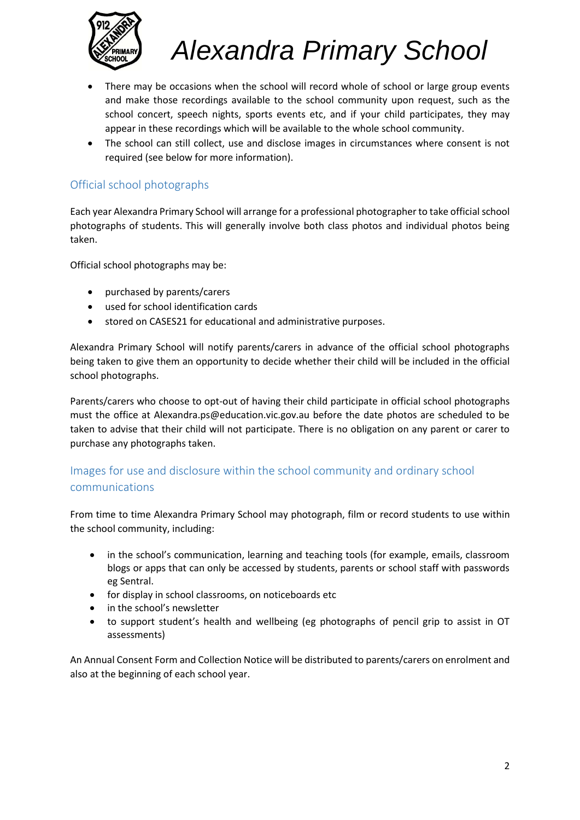

- There may be occasions when the school will record whole of school or large group events and make those recordings available to the school community upon request, such as the school concert, speech nights, sports events etc, and if your child participates, they may appear in these recordings which will be available to the whole school community.
- The school can still collect, use and disclose images in circumstances where consent is not required (see below for more information).

# Official school photographs

Each year Alexandra Primary School will arrange for a professional photographer to take official school photographs of students. This will generally involve both class photos and individual photos being taken.

Official school photographs may be:

- purchased by parents/carers
- used for school identification cards
- stored on CASES21 for educational and administrative purposes.

Alexandra Primary School will notify parents/carers in advance of the official school photographs being taken to give them an opportunity to decide whether their child will be included in the official school photographs.

Parents/carers who choose to opt-out of having their child participate in official school photographs must the office at Alexandra.ps@education.vic.gov.au before the date photos are scheduled to be taken to advise that their child will not participate. There is no obligation on any parent or carer to purchase any photographs taken.

# Images for use and disclosure within the school community and ordinary school communications

From time to time Alexandra Primary School may photograph, film or record students to use within the school community, including:

- in the school's communication, learning and teaching tools (for example, emails, classroom blogs or apps that can only be accessed by students, parents or school staff with passwords eg Sentral.
- for display in school classrooms, on noticeboards etc
- in the school's newsletter
- to support student's health and wellbeing (eg photographs of pencil grip to assist in OT assessments)

An Annual Consent Form and Collection Notice will be distributed to parents/carers on enrolment and also at the beginning of each school year.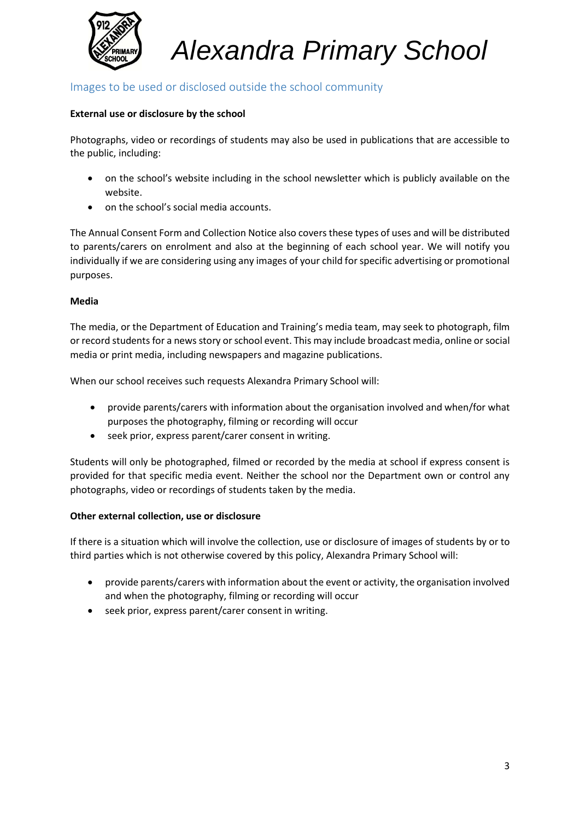

# Images to be used or disclosed outside the school community

#### **External use or disclosure by the school**

Photographs, video or recordings of students may also be used in publications that are accessible to the public, including:

- on the school's website including in the school newsletter which is publicly available on the website.
- on the school's social media accounts.

The Annual Consent Form and Collection Notice also covers these types of uses and will be distributed to parents/carers on enrolment and also at the beginning of each school year. We will notify you individually if we are considering using any images of your child for specific advertising or promotional purposes.

#### **Media**

The media, or the Department of Education and Training's media team, may seek to photograph, film or record students for a news story or school event. This may include broadcast media, online or social media or print media, including newspapers and magazine publications.

When our school receives such requests Alexandra Primary School will:

- provide parents/carers with information about the organisation involved and when/for what purposes the photography, filming or recording will occur
- seek prior, express parent/carer consent in writing.

Students will only be photographed, filmed or recorded by the media at school if express consent is provided for that specific media event. Neither the school nor the Department own or control any photographs, video or recordings of students taken by the media.

#### **Other external collection, use or disclosure**

If there is a situation which will involve the collection, use or disclosure of images of students by or to third parties which is not otherwise covered by this policy, Alexandra Primary School will:

- provide parents/carers with information about the event or activity, the organisation involved and when the photography, filming or recording will occur
- seek prior, express parent/carer consent in writing.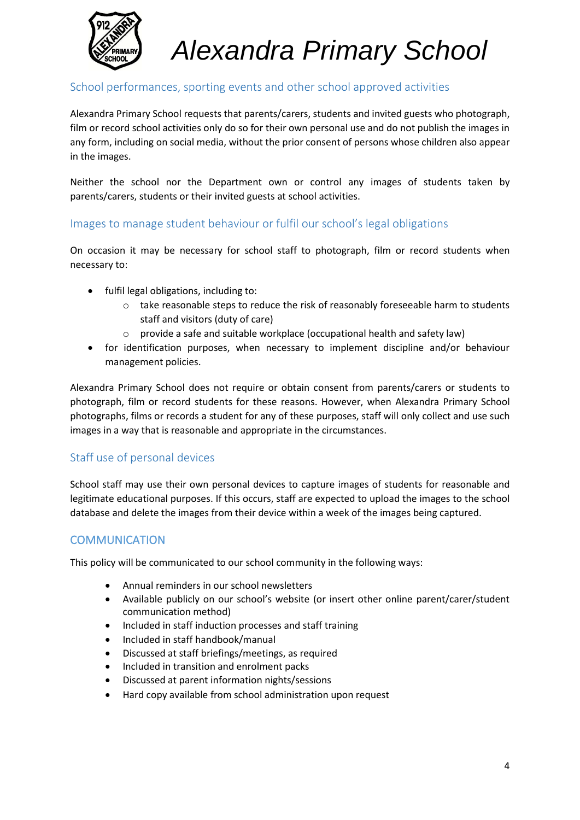

# School performances, sporting events and other school approved activities

Alexandra Primary School requests that parents/carers, students and invited guests who photograph, film or record school activities only do so for their own personal use and do not publish the images in any form, including on social media, without the prior consent of persons whose children also appear in the images.

Neither the school nor the Department own or control any images of students taken by parents/carers, students or their invited guests at school activities.

#### Images to manage student behaviour or fulfil our school's legal obligations

On occasion it may be necessary for school staff to photograph, film or record students when necessary to:

- fulfil legal obligations, including to:
	- $\circ$  take reasonable steps to reduce the risk of reasonably foreseeable harm to students staff and visitors (duty of care)
	- $\circ$  provide a safe and suitable workplace (occupational health and safety law)
- for identification purposes, when necessary to implement discipline and/or behaviour management policies.

Alexandra Primary School does not require or obtain consent from parents/carers or students to photograph, film or record students for these reasons. However, when Alexandra Primary School photographs, films or records a student for any of these purposes, staff will only collect and use such images in a way that is reasonable and appropriate in the circumstances.

#### Staff use of personal devices

School staff may use their own personal devices to capture images of students for reasonable and legitimate educational purposes. If this occurs, staff are expected to upload the images to the school database and delete the images from their device within a week of the images being captured.

#### **COMMUNICATION**

This policy will be communicated to our school community in the following ways:

- Annual reminders in our school newsletters
- Available publicly on our school's website (or insert other online parent/carer/student communication method)
- Included in staff induction processes and staff training
- Included in staff handbook/manual
- Discussed at staff briefings/meetings, as required
- Included in transition and enrolment packs
- Discussed at parent information nights/sessions
- Hard copy available from school administration upon request